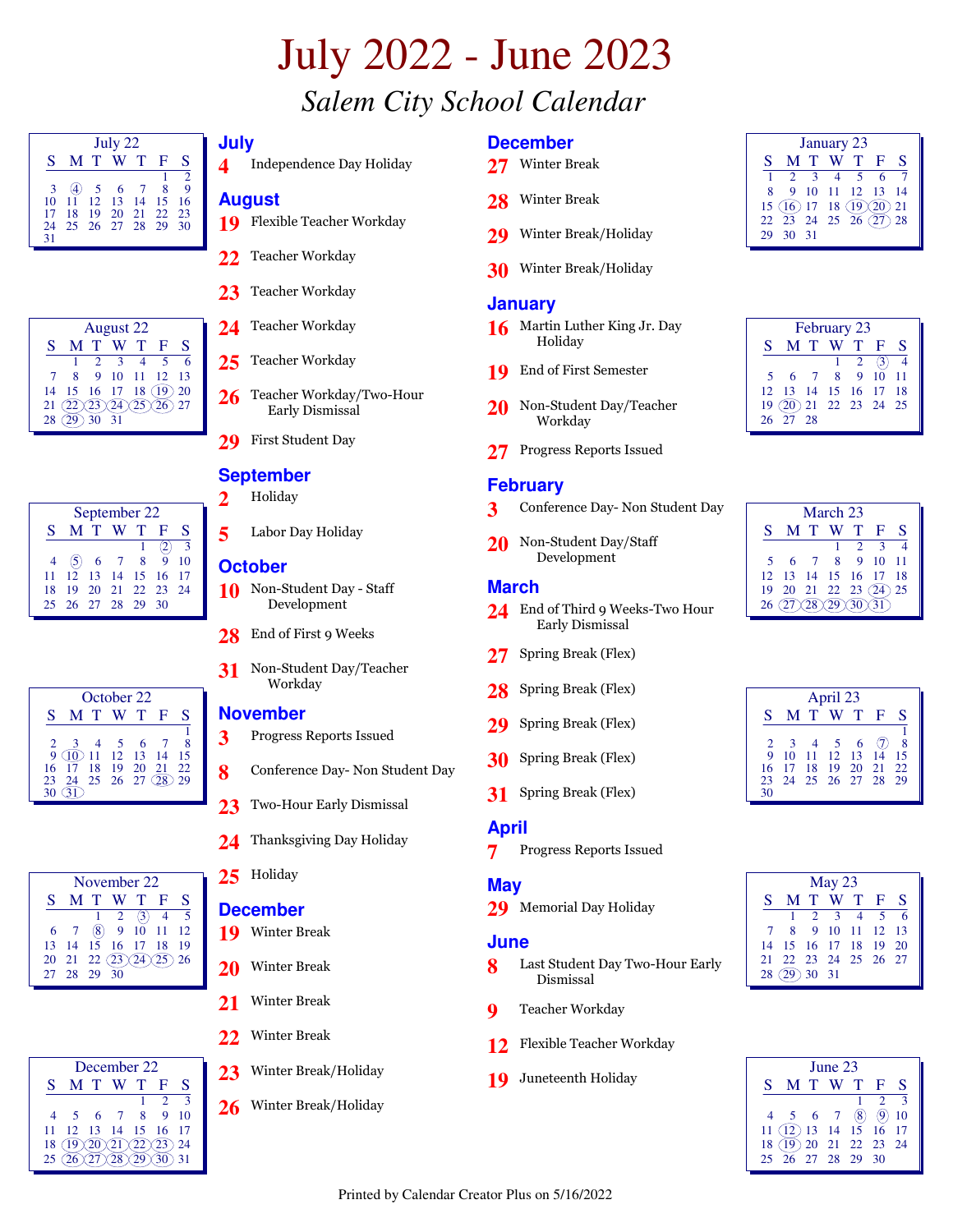# July 2022 - June 2023 *Salem City School Calendar*

| July 22 |     |     |                |     |          |                |  |  |  |  |
|---------|-----|-----|----------------|-----|----------|----------------|--|--|--|--|
| S       |     | M T | W T            |     | E        | S              |  |  |  |  |
|         |     |     |                |     |          | $\mathfrak{D}$ |  |  |  |  |
| 3       | (4) |     | 5 6            | - 7 | 8        | 9              |  |  |  |  |
| 10      | 11  |     | 12 13 14       |     | -15      | 16             |  |  |  |  |
| 17      | 18  | 19  | - 20           |     | 21 22 23 |                |  |  |  |  |
| 24      |     |     | 25 26 27 28 29 |     |          | 30             |  |  |  |  |
| 31      |     |     |                |     |          |                |  |  |  |  |

|    | <b>August 22</b> |             |          |    |    |    |  |  |  |  |  |
|----|------------------|-------------|----------|----|----|----|--|--|--|--|--|
| S  |                  | T           |          | т  | F  | S  |  |  |  |  |  |
|    |                  |             | 3        |    |    | 6  |  |  |  |  |  |
|    | 8                | $\mathbf Q$ | 10       | 11 | 12 | 13 |  |  |  |  |  |
| 14 | 15               |             | 16 17 18 |    | 19 | 20 |  |  |  |  |  |
| 21 |                  |             |          |    |    | 27 |  |  |  |  |  |
| 28 |                  | 30          | -31      |    |    |    |  |  |  |  |  |

| September 22 |  |     |                        |  |                |    |  |  |  |  |
|--------------|--|-----|------------------------|--|----------------|----|--|--|--|--|
| S.           |  | M T | W T                    |  | - F            | S  |  |  |  |  |
|              |  |     |                        |  | -2)            | 3  |  |  |  |  |
|              |  |     | (5) 6 7 8              |  | $\overline{9}$ | 10 |  |  |  |  |
| 11.          |  |     | 12  13  14  15  16  17 |  |                |    |  |  |  |  |
| 18           |  |     | 19 20 21 22 23 24      |  |                |    |  |  |  |  |
|              |  |     | 25 26 27 28 29 30      |  |                |    |  |  |  |  |

October 22

November 22  $S$  **M T W T F S**<br>1 2 (3) 4 5  $1 \t2 \t(3) \t4$  $6 \quad 7 \quad (8) \quad 9 \quad 10 \quad 11 \quad 12$ 13 14 15 16 17 18 19 20 21 22 23 24 25 26

27 28 29 30

| July |                          |
|------|--------------------------|
|      | Independence Day Holiday |

### **August**

- **19** Flexible Teacher Workday
- **22** Teacher Workday
- **23** Teacher Workday
- **24** Teacher Workday
- **25** Teacher Workday
- **26** Teacher Workday/Two-Hour Early Dismissal
- **29** First Student Day

#### **September**

- **2** Holiday
- **5** Labor Day Holiday

#### **October**

- **10** Non-Student Day Staff Development
- 28 End of First 9 Weeks
- **31** Non-Student Day/Teacher Workday

#### **November**

- **3** Progress Reports Issued
- **8** Conference Day- Non Student Day
	- **23** Hour Early Dismissal
- **24** Thanksgiving Day Holiday

## 25 Holiday

#### **December**

- **19** Winter Break
- **20** Winter Break
- **21** Winter Break
- **22** Winter Break
- **23** Winter Break/Holiday
- 26 Winter Break/Holiday

#### **December**

- **27** Winter Break
- **28** Winter Break
- **29** Winter Break/Holiday
- **30** Winter Break/Holiday

#### **January**

- **16** Martin Luther King Jr. Day Holiday
- **19** End of First Semester
- **20** Non-Student Day/Teacher Workday
- **27** Progress Reports Issued

#### **February**

- **3** Conference Day- Non Student Day
- 20 Non-Student Day/Staff Development

#### **March**

- **24** End of Third 9 Weeks-Two Hour Early Dismissal
- **27** Spring Break (Flex)
- 28 Spring Break (Flex)
- **29** Spring Break (Flex)
- **30** Spring Break (Flex)
- **31** Spring Break (Flex)

#### **April**

**7** Progress Reports Issued

#### **May**

**29** Memorial Day Holiday

#### **June**

- **8** Last Student Day Two-Hour Early Dismissal
- **9** Teacher Workday
- **12** Flexible Teacher Workday
- **19** Juneteenth Holiday

| January 23 |                                                      |              |                  |      |    |   |  |  |  |  |  |
|------------|------------------------------------------------------|--------------|------------------|------|----|---|--|--|--|--|--|
| S          |                                                      |              | M T W T          |      | ान | S |  |  |  |  |  |
|            | $\overline{2}$                                       | $\mathbf{R}$ | $\overline{4}$   | $-5$ | -6 |   |  |  |  |  |  |
| 8          |                                                      |              | 9 10 11 12 13 14 |      |    |   |  |  |  |  |  |
|            | 15 (16) 17 18 (19) (20) 21<br>22 23 24 25 26 (27) 28 |              |                  |      |    |   |  |  |  |  |  |
|            |                                                      |              |                  |      |    |   |  |  |  |  |  |
|            | -30                                                  | $-31$        |                  |      |    |   |  |  |  |  |  |

|    | February 23                |     |                              |             |     |       |  |  |  |  |  |
|----|----------------------------|-----|------------------------------|-------------|-----|-------|--|--|--|--|--|
| S. |                            | M T | W T F                        |             |     | S     |  |  |  |  |  |
|    |                            |     |                              | $1 \quad 2$ | (3) |       |  |  |  |  |  |
| 5  | - 6                        |     | $7 \quad 8 \quad 9 \quad 10$ |             |     | $-11$ |  |  |  |  |  |
|    | 12  13  14  15  16  17  18 |     |                              |             |     |       |  |  |  |  |  |
|    | 19 20 21 22 23 24 25       |     |                              |             |     |       |  |  |  |  |  |
|    | $26\quad 27\quad 28$       |     |                              |             |     |       |  |  |  |  |  |

| March 23 |                 |                      |                            |                         |     |    |  |  |  |  |
|----------|-----------------|----------------------|----------------------------|-------------------------|-----|----|--|--|--|--|
| S        |                 | M T                  | W T                        |                         | - F | S  |  |  |  |  |
|          |                 |                      |                            | $\mathcal{D}$           | 3   |    |  |  |  |  |
| 5        | $6\overline{6}$ | $7\overline{ }$      | 8                          | $\overline{\mathbf{q}}$ | 10  | 11 |  |  |  |  |
|          |                 |                      | 12  13  14  15  16  17  18 |                         |     |    |  |  |  |  |
|          |                 |                      | 19 20 21 22 23 $(24)$      |                         |     | 25 |  |  |  |  |
|          | 26(27)          | $\sqrt{28}\sqrt{29}$ |                            | $\sqrt{3}$              |     |    |  |  |  |  |

| April 23 |     |       |                          |              |           |    |  |  |  |  |
|----------|-----|-------|--------------------------|--------------|-----------|----|--|--|--|--|
| S        |     | M T   | W                        | $\mathbf{T}$ | F         | S  |  |  |  |  |
| 2        | 3   | 4     | $\overline{\phantom{0}}$ | 6            | $\hat{U}$ | 8  |  |  |  |  |
| 9        | 10  | 11    |                          | 12 13 14     |           | 15 |  |  |  |  |
| 16       | -17 | $-18$ | 19                       | 20 21        |           | 22 |  |  |  |  |
| 23       |     |       | 24 25 26 27 28           |              |           | 29 |  |  |  |  |
| 30       |     |       |                          |              |           |    |  |  |  |  |

| May $23$   |                            |  |               |  |                |           |  |  |  |  |
|------------|----------------------------|--|---------------|--|----------------|-----------|--|--|--|--|
| S.         |                            |  | MTWTF         |  |                | -S        |  |  |  |  |
|            | $\mathbf{1}$               |  | 2 3 4         |  | $\overline{5}$ | $\bar{6}$ |  |  |  |  |
|            | 8 <sup>1</sup>             |  | 9 10 11 12 13 |  |                |           |  |  |  |  |
|            | 14  15  16  17  18  19  20 |  |               |  |                |           |  |  |  |  |
|            | 21 22 23 24 25 26 27       |  |               |  |                |           |  |  |  |  |
| 28(29)3031 |                            |  |               |  |                |           |  |  |  |  |
|            |                            |  |               |  |                |           |  |  |  |  |

| June 23 |                          |  |       |     |                   |               |  |  |  |  |  |
|---------|--------------------------|--|-------|-----|-------------------|---------------|--|--|--|--|--|
| S.      |                          |  | MTWTF |     |                   | S             |  |  |  |  |  |
|         |                          |  |       |     | 2                 | $\mathcal{R}$ |  |  |  |  |  |
|         |                          |  | 5 6 7 | (8) | $\left( 9\right)$ | 10            |  |  |  |  |  |
|         | $11$ (12) 13 14 15 16 17 |  |       |     |                   |               |  |  |  |  |  |
|         | 18 (19) 20 21 22 23 24   |  |       |     |                   |               |  |  |  |  |  |
|         | 25 26 27 28 29 30        |  |       |     |                   |               |  |  |  |  |  |

| December 22 |                 |    |         |  |                             |              |  |  |  |  |
|-------------|-----------------|----|---------|--|-----------------------------|--------------|--|--|--|--|
| S           |                 |    | M T W T |  | F                           | S            |  |  |  |  |
|             |                 |    |         |  | $\mathcal{D}_{\mathcal{L}}$ | $\mathbf{3}$ |  |  |  |  |
| 4           | 5.              |    | 6 7 8   |  | -9                          | 10           |  |  |  |  |
| 11          | 12 <sup>7</sup> | 13 | 14 15   |  | 16                          | 17           |  |  |  |  |
| 18          | 19              |    |         |  |                             | 24           |  |  |  |  |
| 25          |                 |    |         |  |                             | 31           |  |  |  |  |

| 1.05     |     |  |  |                                                                                                                                         |  |
|----------|-----|--|--|-----------------------------------------------------------------------------------------------------------------------------------------|--|
| 8<br>Con | -15 |  |  | $\begin{array}{ccc} 2 & 3 & 4 \\ 9 & 11 & 12 & 13 & 14 \\ 10 & 19 & 20 & 2 \end{array}$<br>16 17 18 19 20 21 22<br>23 24 25 26 27 28 29 |  |
| Two      |     |  |  | 30 GL                                                                                                                                   |  |
| Thor     |     |  |  |                                                                                                                                         |  |

|              | October 22 |              |  |         |  |  |  |  |
|--------------|------------|--------------|--|---------|--|--|--|--|
| <b>Novem</b> |            | $\mathbf{F}$ |  | M T W T |  |  |  |  |
|              |            |              |  |         |  |  |  |  |

1